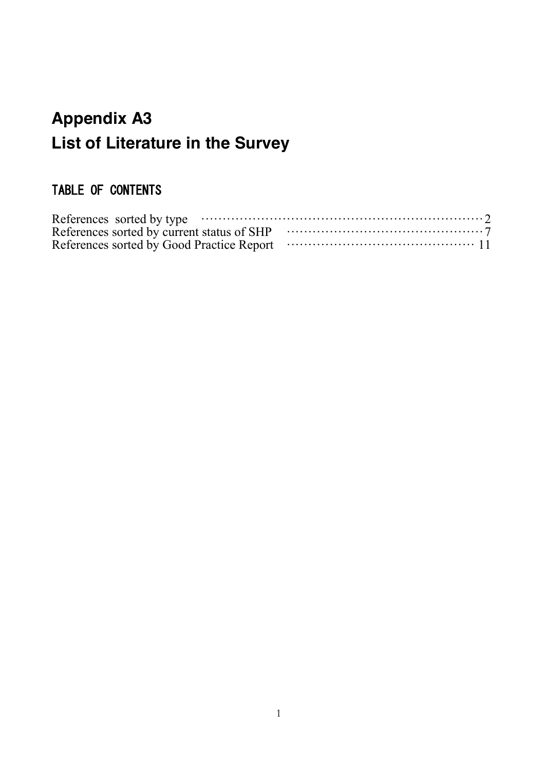# **Appendix A3 List of Literature in the Survey**

# TABLE OF CONTENTS

| References sorted by type $\cdots$ $\cdots$ $\cdots$ $\cdots$ $\cdots$ $\cdots$ $\cdots$ $\cdots$ $\cdots$ $\cdots$ $\cdots$ $\cdots$ $\cdots$ $\cdots$ |  |
|---------------------------------------------------------------------------------------------------------------------------------------------------------|--|
|                                                                                                                                                         |  |
|                                                                                                                                                         |  |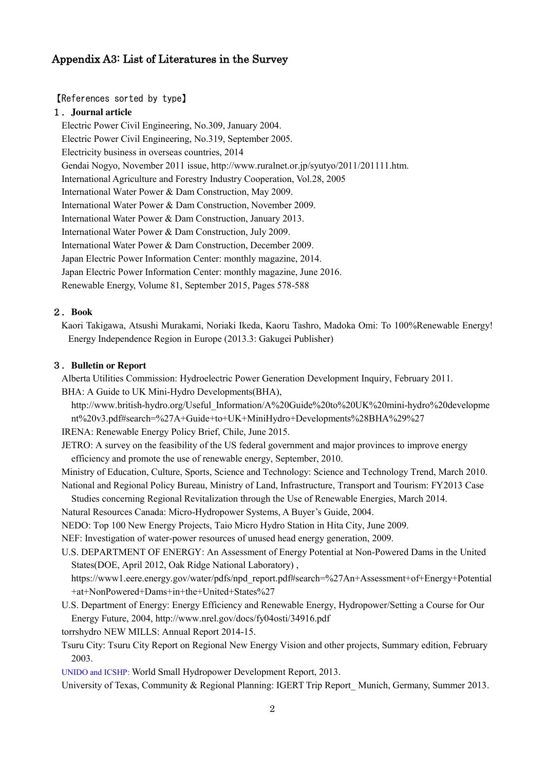# <span id="page-1-0"></span>Appendix A3: List of Literatures in the Survey

#### 【References sorted by type】

#### 1.**Journal article**

Electric Power Civil Engineering, No.309, January 2004. Electric Power Civil Engineering, No.319, September 2005. Electricity business in overseas countries, 2014 Gendai Nogyo, November 2011 issue, http://www.ruralnet.or.jp/syutyo/2011/201111.htm. International Agriculture and Forestry Industry Cooperation, Vol.28, 2005 International Water Power & Dam Construction, May 2009. International Water Power & Dam Construction, November 2009. International Water Power & Dam Construction, January 2013. International Water Power & Dam Construction, July 2009. International Water Power & Dam Construction, December 2009. Japan Electric Power Information Center: monthly magazine, 2014. Japan Electric Power Information Center: monthly magazine, June 2016. Renewable Energy, Volume 81, September 2015, Pages 578-588

#### 2.**Book**

Kaori Takigawa, Atsushi Murakami, Noriaki Ikeda, Kaoru Tashro, Madoka Omi: To 100%Renewable Energy! Energy Independence Region in Europe (2013.3: Gakugei Publisher)

#### 3.**Bulletin or Report**

Alberta Utilities Commission: Hydroelectric Power Generation Development Inquiry, February 2011.

BHA: A Guide to UK Mini-Hydro Developments(BHA),

http://www.british-hydro.org/Useful\_Information/A%20Guide%20to%20UK%20mini-hydro%20developme nt%20v3.pdf#search=%27A+Guide+to+UK+MiniHydro+Developments%28BHA%29%27

IRENA: Renewable Energy Policy Brief, Chile, June 2015.

JETRO: A survey on the feasibility of the US federal government and major provinces to improve energy efficiency and promote the use of renewable energy, September, 2010.

Ministry of Education, Culture, Sports, Science and Technology: Science and Technology Trend, March 2010. National and Regional Policy Bureau, Ministry of Land, Infrastructure, Transport and Tourism: FY2013 Case

Studies concerning Regional Revitalization through the Use of Renewable Energies, March 2014.

Natural Resources Canada: Micro-Hydropower Systems, A Buyer's Guide, 2004.

NEDO: Top 100 New Energy Projects, Taio Micro Hydro Station in Hita City, June 2009.

NEF: Investigation of water-power resources of unused head energy generation, 2009.

U.S. DEPARTMENT OF ENERGY: An Assessment of Energy Potential at Non-Powered Dams in the United States(DOE, April 2012, Oak Ridge National Laboratory) ,

https://www1.eere.energy.gov/water/pdfs/npd\_report.pdf#search=%27An+Assessment+of+Energy+Potential +at+NonPowered+Dams+in+the+United+States%27

U.S. Department of Energy: Energy Efficiency and Renewable Energy, Hydropower/Setting a Course for Our Energy Future, 2004, http://www.nrel.gov/docs/fy04osti/34916.pdf

torrshydro NEW MILLS: Annual Report 2014-15.

Tsuru City: Tsuru City Report on Regional New Energy Vision and other projects, Summary edition, February 2003.

UNIDO and ICSHP: World Small Hydropower Development Report, 2013.

University of Texas, Community & Regional Planning: IGERT Trip Report Munich, Germany, Summer 2013.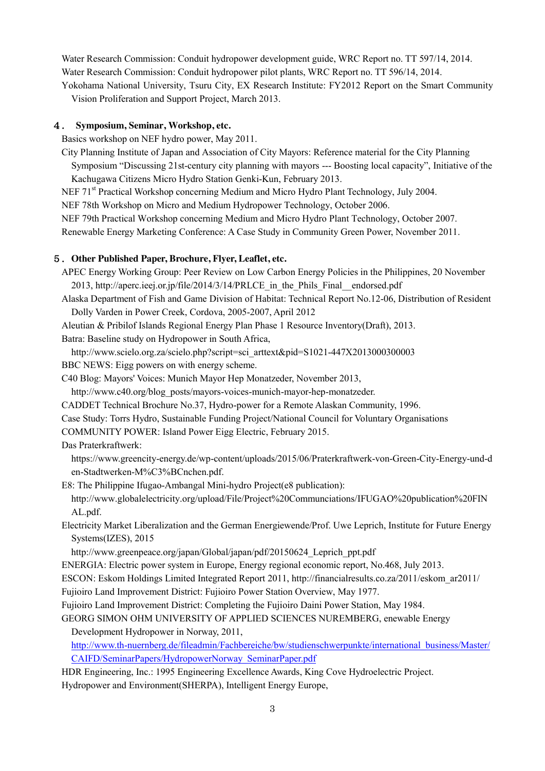Water Research Commission: Conduit hydropower development guide, WRC Report no. TT 597/14, 2014. Water Research Commission: Conduit hydropower pilot plants, WRC Report no. TT 596/14, 2014. Yokohama National University, Tsuru City, EX Research Institute: FY2012 Report on the Smart Community

Vision Proliferation and Support Project, March 2013.

#### 4. **Symposium, Seminar, Workshop, etc.**

Basics workshop on NEF hydro power, May 2011.

City Planning Institute of Japan and Association of City Mayors: Reference material for the City Planning Symposium "Discussing 21st-century city planning with mayors --- Boosting local capacity", Initiative of the Kachugawa Citizens Micro Hydro Station Genki-Kun, February 2013.

NEF 71<sup>st</sup> Practical Workshop concerning Medium and Micro Hydro Plant Technology, July 2004.

NEF 78th Workshop on Micro and Medium Hydropower Technology, October 2006.

NEF 79th Practical Workshop concerning Medium and Micro Hydro Plant Technology, October 2007.

Renewable Energy Marketing Conference: A Case Study in Community Green Power, November 2011.

#### 5.**Other Published Paper, Brochure, Flyer, Leaflet, etc.**

APEC Energy Working Group: Peer Review on Low Carbon Energy Policies in the Philippines, 20 November 2013, http://aperc.ieej.or.jp/file/2014/3/14/PRLCE\_in\_the\_Phils\_Final\_\_endorsed.pdf

Alaska Department of Fish and Game Division of Habitat: Technical Report No.12-06, Distribution of Resident Dolly Varden in Power Creek, Cordova, 2005-2007, April 2012

Aleutian & Pribilof Islands Regional Energy Plan Phase 1 Resource Inventory(Draft), 2013.

Batra: Baseline study on Hydropower in South Africa,

http://www.scielo.org.za/scielo.php?script=sci\_arttext&pid=S1021-447X2013000300003

BBC NEWS: Eigg powers on with energy scheme.

C40 Blog: Mayors' Voices: Munich Mayor Hep Monatzeder, November 2013,

http://www.c40.org/blog\_posts/mayors-voices-munich-mayor-hep-monatzeder.

CADDET Technical Brochure No.37, Hydro-power for a Remote Alaskan Community, 1996.

Case Study: Torrs Hydro, Sustainable Funding Project/National Council for Voluntary Organisations

COMMUNITY POWER: Island Power Eigg Electric, February 2015.

Das Praterkraftwerk:

https://www.greencity-energy.de/wp-content/uploads/2015/06/Praterkraftwerk-von-Green-City-Energy-und-d en-Stadtwerken-M%C3%BCnchen.pdf.

E8: The Philippine Ifugao-Ambangal Mini-hydro Project(e8 publication):

http://www.globalelectricity.org/upload/File/Project%20Communciations/IFUGAO%20publication%20FIN AL.pdf.

Electricity Market Liberalization and the German Energiewende/Prof. Uwe Leprich, Institute for Future Energy Systems(IZES), 2015

http://www.greenpeace.org/japan/Global/japan/pdf/20150624 Leprich ppt.pdf

ENERGIA: Electric power system in Europe, Energy regional economic report, No.468, July 2013.

ESCON: Eskom Holdings Limited Integrated Report 2011, http://financialresults.co.za/2011/eskom\_ar2011/

Fujioiro Land Improvement District: Fujioiro Power Station Overview, May 1977.

Fujioiro Land Improvement District: Completing the Fujioiro Daini Power Station, May 1984.

GEORG SIMON OHM UNIVERSITY OF APPLIED SCIENCES NUREMBERG, enewable Energy Development Hydropower in Norway, 2011,

[http://www.th-nuernberg.de/fileadmin/Fachbereiche/bw/studienschwerpunkte/international\\_business/Master/](http://www.th-nuernberg.de/fileadmin/Fachbereiche/bw/studienschwerpunkte/international_business/Master/CAIFD/SeminarPapers/HydropowerNorway_SeminarPaper.pdf) [CAIFD/SeminarPapers/HydropowerNorway\\_SeminarPaper.pdf](http://www.th-nuernberg.de/fileadmin/Fachbereiche/bw/studienschwerpunkte/international_business/Master/CAIFD/SeminarPapers/HydropowerNorway_SeminarPaper.pdf)

HDR Engineering, Inc.: 1995 Engineering Excellence Awards, King Cove Hydroelectric Project.

Hydropower and Environment(SHERPA), Intelligent Energy Europe,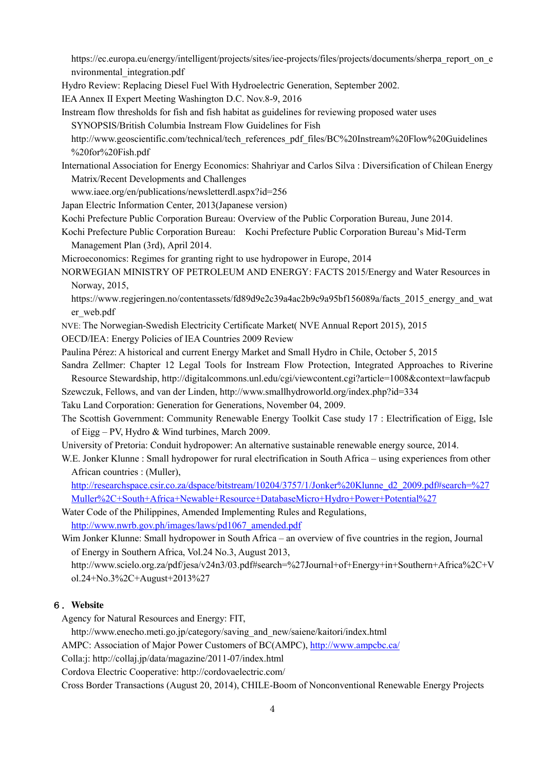https://ec.europa.eu/energy/intelligent/projects/sites/iee-projects/files/projects/documents/sherpa\_report\_on\_e nvironmental\_integration.pdf

Hydro Review: Replacing Diesel Fuel With Hydroelectric Generation, September 2002.

IEA Annex II Expert Meeting Washington D.C. Nov.8-9, 2016

Instream flow thresholds for fish and fish habitat as guidelines for reviewing proposed water uses SYNOPSIS/British Columbia Instream Flow Guidelines for Fish

http://www.geoscientific.com/technical/tech\_references\_pdf\_files/BC%20Instream%20Flow%20Guidelines %20for%20Fish.pdf

International Association for Energy Economics: Shahriyar and Carlos Silva : Diversification of Chilean Energy Matrix/Recent Developments and Challenges

- www.iaee.org/en/publications/newsletterdl.aspx?id=256
- Japan Electric Information Center, 2013(Japanese version)

Kochi Prefecture Public Corporation Bureau: Overview of the Public Corporation Bureau, June 2014.

- Kochi Prefecture Public Corporation Bureau: Kochi Prefecture Public Corporation Bureau's Mid-Term Management Plan (3rd), April 2014.
- Microeconomics: Regimes for granting right to use hydropower in Europe, 2014

NORWEGIAN MINISTRY OF PETROLEUM AND ENERGY: FACTS 2015/Energy and Water Resources in Norway, 2015,

https://www.regjeringen.no/contentassets/fd89d9e2c39a4ac2b9c9a95bf156089a/facts\_2015\_energy\_and\_wat er\_web.pdf

NVE: The Norwegian-Swedish Electricity Certificate Market( NVE Annual Report 2015), 2015

OECD/IEA: Energy Policies of IEA Countries 2009 Review

- Paulina Pérez: A historical and current Energy Market and Small Hydro in Chile, October 5, 2015
- Sandra Zellmer: Chapter 12 Legal Tools for Instream Flow Protection, Integrated Approaches to Riverine Resource Stewardship, http://digitalcommons.unl.edu/cgi/viewcontent.cgi?article=1008&context=lawfacpub
- Szewczuk, Fellows, and van der Linden, http://www.smallhydroworld.org/index.php?id=334

Taku Land Corporation: Generation for Generations, November 04, 2009.

The Scottish Government: Community Renewable Energy Toolkit Case study 17 : Electrification of Eigg, Isle of Eigg – PV, Hydro & Wind turbines, March 2009.

University of Pretoria: Conduit hydropower: An alternative sustainable renewable energy source, 2014.

W.E. Jonker Klunne : Small hydropower for rural electrification in South Africa – using experiences from other African countries : (Muller),

[http://researchspace.csir.co.za/dspace/bitstream/10204/3757/1/Jonker%20Klunne\\_d2\\_2009.pdf#search=%27](http://researchspace.csir.co.za/dspace/bitstream/10204/3757/1/Jonker%20Klunne_d2_2009.pdf#search=%27Muller%2C+South+Africa+Newable+Resource+DatabaseMicro+Hydro+Power+Potential%27) [Muller%2C+South+Africa+Newable+Resource+DatabaseMicro+Hydro+Power+Potential%27](http://researchspace.csir.co.za/dspace/bitstream/10204/3757/1/Jonker%20Klunne_d2_2009.pdf#search=%27Muller%2C+South+Africa+Newable+Resource+DatabaseMicro+Hydro+Power+Potential%27)

Water Code of the Philippines, Amended Implementing Rules and Regulations, [http://www.nwrb.gov.ph/images/laws/pd1067\\_amended.pdf](http://www.nwrb.gov.ph/images/laws/pd1067_amended.pdf)

Wim Jonker Klunne: Small hydropower in South Africa – an overview of five countries in the region, Journal of Energy in Southern Africa, Vol.24 No.3, August 2013,

http://www.scielo.org.za/pdf/jesa/v24n3/03.pdf#search=%27Journal+of+Energy+in+Southern+Africa%2C+V ol.24+No.3%2C+August+2013%27

#### 6.**Website**

Agency for Natural Resources and Energy: FIT,

http://www.enecho.meti.go.jp/category/saving\_and\_new/saiene/kaitori/index.html

AMPC: Association of Major Power Customers of BC(AMPC)[, http://www.ampcbc.ca/](http://www.ampcbc.ca/)

Colla:j: http://collaj.jp/data/magazine/2011-07/index.html

Cordova Electric Cooperative: http://cordovaelectric.com/

Cross Border Transactions (August 20, 2014), CHILE-Boom of Nonconventional Renewable Energy Projects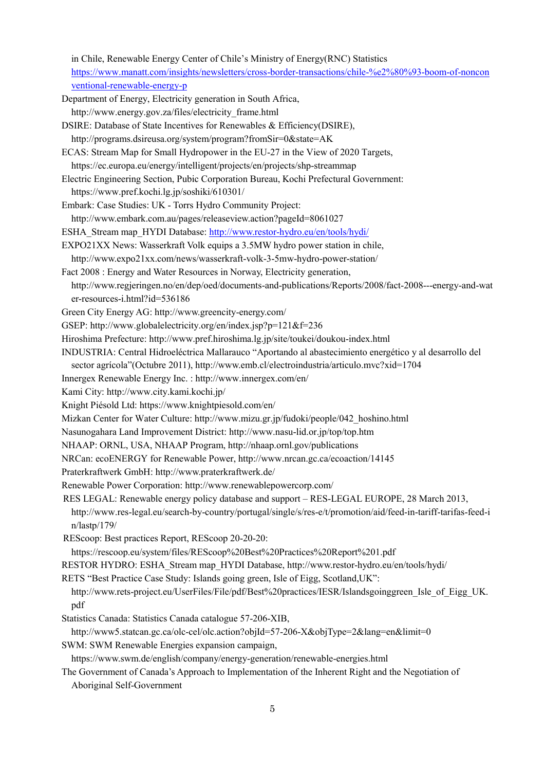in Chile, Renewable Energy Center of Chile's Ministry of Energy(RNC) Statistics [https://www.manatt.com/insights/newsletters/cross-border-transactions/chile-%e2%80%93-boom-of-noncon](https://www.manatt.com/insights/newsletters/cross-border-transactions/chile-%e2%80%93-boom-of-nonconventional-renewable-energy-p) [ventional-renewable-energy-p](https://www.manatt.com/insights/newsletters/cross-border-transactions/chile-%e2%80%93-boom-of-nonconventional-renewable-energy-p)

- Department of Energy, Electricity generation in South Africa, http://www.energy.gov.za/files/electricity\_frame.html
- DSIRE: Database of State Incentives for Renewables & Efficiency(DSIRE),
- http://programs.dsireusa.org/system/program?fromSir=0&state=AK
- ECAS: Stream Map for Small Hydropower in the EU-27 in the View of 2020 Targets, https://ec.europa.eu/energy/intelligent/projects/en/projects/shp-streammap
- Electric Engineering Section, Pubic Corporation Bureau, Kochi Prefectural Government: https://www.pref.kochi.lg.jp/soshiki/610301/
- Embark: Case Studies: UK Torrs Hydro Community Project:
- http://www.embark.com.au/pages/releaseview.action?pageId=8061027
- ESHA\_Stream map\_HYDI Database[: http://www.restor-hydro.eu/en/tools/hydi/](http://www.restor-hydro.eu/en/tools/hydi/)
- EXPO21XX News: Wasserkraft Volk equips a 3.5MW hydro power station in chile,
- http://www.expo21xx.com/news/wasserkraft-volk-3-5mw-hydro-power-station/
- Fact 2008 : Energy and Water Resources in Norway, Electricity generation, http://www.regjeringen.no/en/dep/oed/documents-and-publications/Reports/2008/fact-2008---energy-and-wat er-resources-i.html?id=536186
- Green City Energy AG: http://www.greencity-energy.com/
- GSEP: http://www.globalelectricity.org/en/index.jsp?p=121&f=236
- Hiroshima Prefecture: http://www.pref.hiroshima.lg.jp/site/toukei/doukou-index.html
- INDUSTRIA: Central Hidroeléctrica Mallarauco "Aportando al abastecimiento energético y al desarrollo del
- sector agrícola"(Octubre 2011), http://www.emb.cl/electroindustria/articulo.mvc?xid=1704
- Innergex Renewable Energy Inc. : http://www.innergex.com/en/
- Kami City: http://www.city.kami.kochi.jp/
- Knight Piésold Ltd: https://www.knightpiesold.com/en/
- Mizkan Center for Water Culture: http://www.mizu.gr.jp/fudoki/people/042\_hoshino.html
- Nasunogahara Land Improvement District: http://www.nasu-lid.or.jp/top/top.htm
- NHAAP: ORNL, USA, NHAAP Program, http://nhaap.ornl.gov/publications
- NRCan: ecoENERGY for Renewable Power, http://www.nrcan.gc.ca/ecoaction/14145
- Praterkraftwerk GmbH: http://www.praterkraftwerk.de/
- Renewable Power Corporation: http://www.renewablepowercorp.com/
- RES LEGAL: Renewable energy policy database and support RES-LEGAL EUROPE, 28 March 2013, http://www.res-legal.eu/search-by-country/portugal/single/s/res-e/t/promotion/aid/feed-in-tariff-tarifas-feed-i n/lastp/179/
- REScoop: Best practices Report, REScoop 20-20-20:
	- https://rescoop.eu/system/files/REScoop%20Best%20Practices%20Report%201.pdf
- RESTOR HYDRO: ESHA\_Stream map\_HYDI Database, http://www.restor-hydro.eu/en/tools/hydi/
- RETS "Best Practice Case Study: Islands going green, Isle of Eigg, Scotland,UK":
- http://www.rets-project.eu/UserFiles/File/pdf/Best%20practices/IESR/Islandsgoinggreen\_Isle\_of\_Eigg\_UK. pdf
- Statistics Canada: Statistics Canada catalogue 57-206-XIB,
- http://www5.statcan.gc.ca/olc-cel/olc.action?objId=57-206-X&objType=2&lang=en&limit=0
- SWM: SWM Renewable Energies expansion campaign,
- https://www.swm.de/english/company/energy-generation/renewable-energies.html
- The Government of Canada's Approach to Implementation of the Inherent Right and the Negotiation of Aboriginal Self-Government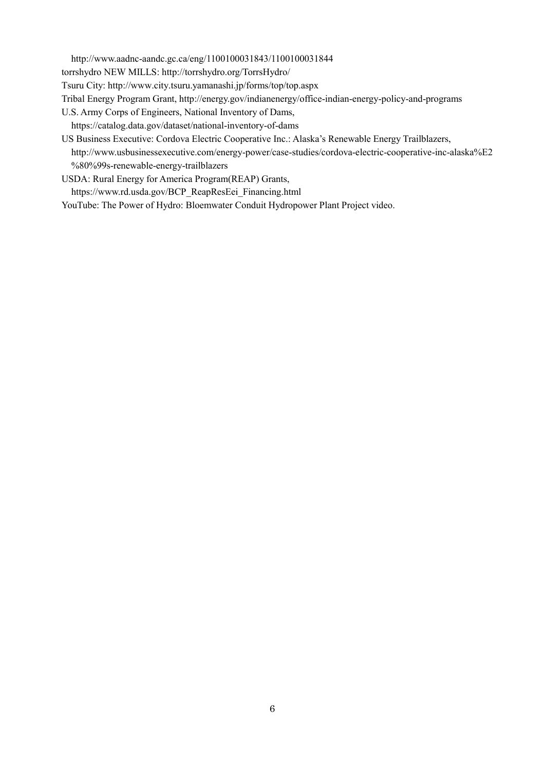http://www.aadnc-aandc.gc.ca/eng/1100100031843/1100100031844

torrshydro NEW MILLS: http://torrshydro.org/TorrsHydro/

Tsuru City: http://www.city.tsuru.yamanashi.jp/forms/top/top.aspx

Tribal Energy Program Grant, http://energy.gov/indianenergy/office-indian-energy-policy-and-programs

- U.S. Army Corps of Engineers, National Inventory of Dams,
- https://catalog.data.gov/dataset/national-inventory-of-dams
- US Business Executive: Cordova Electric Cooperative Inc.: Alaska's Renewable Energy Trailblazers, http://www.usbusinessexecutive.com/energy-power/case-studies/cordova-electric-cooperative-inc-alaska%E2 %80%99s-renewable-energy-trailblazers
- USDA: Rural Energy for America Program(REAP) Grants,
- https://www.rd.usda.gov/BCP\_ReapResEei\_Financing.html

YouTube: The Power of Hydro: Bloemwater Conduit Hydropower Plant Project video.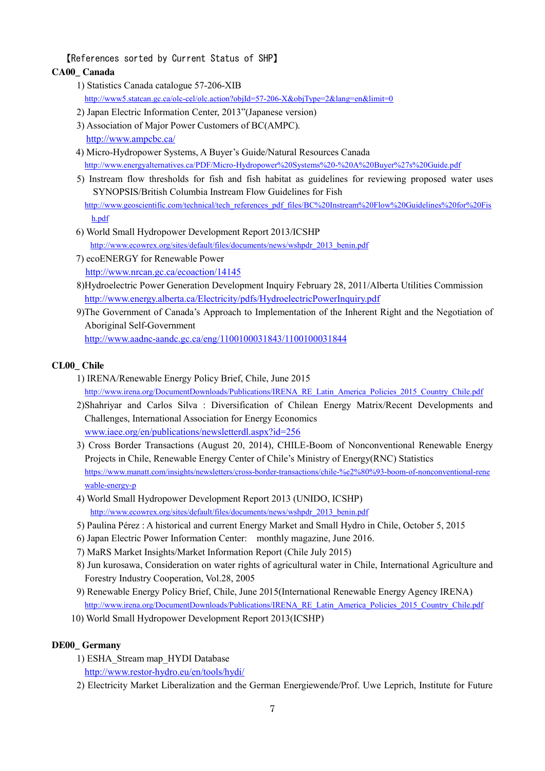【References sorted by Current Status of SHP】

#### <span id="page-6-0"></span>**CA00\_ Canada**

- 1) Statistics Canada catalogue 57-206-XIB <http://www5.statcan.gc.ca/olc-cel/olc.action?objId=57-206-X&objType=2&lang=en&limit=0>
- 2) Japan Electric Information Center, 2013"(Japanese version)
- 3) Association of Major Power Customers of BC(AMPC). <http://www.ampcbc.ca/>
- 4) Micro-Hydropower Systems, A Buyer's Guide/Natural Resources Canada <http://www.energyalternatives.ca/PDF/Micro-Hydropower%20Systems%20-%20A%20Buyer%27s%20Guide.pdf>
- 5) Instream flow thresholds for fish and fish habitat as guidelines for reviewing proposed water uses SYNOPSIS/British Columbia Instream Flow Guidelines for Fish [http://www.geoscientific.com/technical/tech\\_references\\_pdf\\_files/BC%20Instream%20Flow%20Guidelines%20for%20Fis](http://www.geoscientific.com/technical/tech_references_pdf_files/BC%20Instream%20Flow%20Guidelines%20for%20Fish.pdf)

[h.pdf](http://www.geoscientific.com/technical/tech_references_pdf_files/BC%20Instream%20Flow%20Guidelines%20for%20Fish.pdf)

- 6) World Small Hydropower Development Report 2013/ICSHP [http://www.ecowrex.org/sites/default/files/documents/news/wshpdr\\_2013\\_benin.pdf](http://www.ecowrex.org/sites/default/files/documents/news/wshpdr_2013_benin.pdf)
- 7) ecoENERGY for Renewable Power <http://www.nrcan.gc.ca/ecoaction/14145>
- 8)Hydroelectric Power Generation Development Inquiry February 28, 2011/Alberta Utilities Commission <http://www.energy.alberta.ca/Electricity/pdfs/HydroelectricPowerInquiry.pdf>
- 9)The Government of Canada's Approach to Implementation of the Inherent Right and the Negotiation of Aboriginal Self-Government

<http://www.aadnc-aandc.gc.ca/eng/1100100031843/1100100031844>

#### **CL00\_ Chile**

- 1) IRENA/Renewable Energy Policy Brief, Chile, June 2015 [http://www.irena.org/DocumentDownloads/Publications/IRENA\\_RE\\_Latin\\_America\\_Policies\\_2015\\_Country\\_Chile.pdf](http://www.irena.org/DocumentDownloads/Publications/IRENA_RE_Latin_America_Policies_2015_Country_Chile.pdf)
- 2)Shahriyar and Carlos Silva : Diversification of Chilean Energy Matrix/Recent Developments and Challenges, International Association for Energy Economics [www.iaee.org/en/publications/newsletterdl.aspx?id=256](http://www.iaee.org/en/publications/newsletterdl.aspx?id=256)
- 3) Cross Border Transactions (August 20, 2014), CHILE-Boom of Nonconventional Renewable Energy Projects in Chile, Renewable Energy Center of Chile's Ministry of Energy(RNC) Statistics [https://www.manatt.com/insights/newsletters/cross-border-transactions/chile-%e2%80%93-boom-of-nonconventional-rene](https://www.manatt.com/insights/newsletters/cross-border-transactions/chile-%e2%80%93-boom-of-nonconventional-renewable-energy-p) [wable-energy-p](https://www.manatt.com/insights/newsletters/cross-border-transactions/chile-%e2%80%93-boom-of-nonconventional-renewable-energy-p)
- 4) World Small Hydropower Development Report 2013 (UNIDO, ICSHP) [http://www.ecowrex.org/sites/default/files/documents/news/wshpdr\\_2013\\_benin.pdf](http://www.ecowrex.org/sites/default/files/documents/news/wshpdr_2013_benin.pdf)
- 5) Paulina Pérez : A historical and current Energy Market and Small Hydro in Chile, October 5, 2015
- 6) Japan Electric Power Information Center: monthly magazine, June 2016.
- 7) MaRS Market Insights/Market Information Report (Chile July 2015)
- 8) Jun kurosawa, Consideration on water rights of agricultural water in Chile, International Agriculture and Forestry Industry Cooperation, Vol.28, 2005
- 9) Renewable Energy Policy Brief, Chile, June 2015(International Renewable Energy Agency IRENA) [http://www.irena.org/DocumentDownloads/Publications/IRENA\\_RE\\_Latin\\_America\\_Policies\\_2015\\_Country\\_Chile.pdf](http://www.irena.org/DocumentDownloads/Publications/IRENA_RE_Latin_America_Policies_2015_Country_Chile.pdf)
- 10) World Small Hydropower Development Report 2013(ICSHP)

# **DE00\_ Germany**

- 1) ESHA\_Stream map\_HYDI Database <http://www.restor-hydro.eu/en/tools/hydi/>
- 2) Electricity Market Liberalization and the German Energiewende/Prof. Uwe Leprich, Institute for Future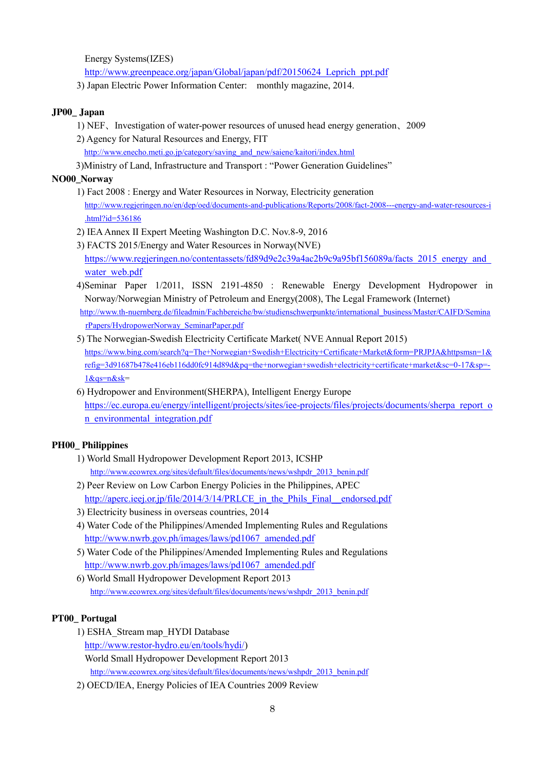Energy Systems(IZES)

[http://www.greenpeace.org/japan/Global/japan/pdf/20150624\\_Leprich\\_ppt.pdf](http://www.greenpeace.org/japan/Global/japan/pdf/20150624_Leprich_ppt.pdf)

3) Japan Electric Power Information Center: monthly magazine, 2014.

#### **JP00\_ Japan**

- 1) NEF、Investigation of water-power resources of unused head energy generation、2009
- 2) Agency for Natural Resources and Energy, FIT
	- [http://www.enecho.meti.go.jp/category/saving\\_and\\_new/saiene/kaitori/index.html](http://www.enecho.meti.go.jp/category/saving_and_new/saiene/kaitori/index.html)

3)Ministry of Land, Infrastructure and Transport : "Power Generation Guidelines"

# **NO00\_Norway**

- 1) Fact 2008 : Energy and Water Resources in Norway, Electricity generation [http://www.regjeringen.no/en/dep/oed/documents-and-publications/Reports/2008/fact-2008---energy-and-water-resources-i](http://www.regjeringen.no/en/dep/oed/documents-and-publications/Reports/2008/fact-2008---energy-and-water-resources-i.html?id=536186) [.html?id=536186](http://www.regjeringen.no/en/dep/oed/documents-and-publications/Reports/2008/fact-2008---energy-and-water-resources-i.html?id=536186)
- 2) IEA Annex II Expert Meeting Washington D.C. Nov.8-9, 2016
- 3) FACTS 2015/Energy and Water Resources in Norway(NVE) https://www.regjeringen.no/contentassets/fd89d9e2c39a4ac2b9c9a95bf156089a/facts\_2015\_energy\_and [water\\_web.pdf](https://www.regjeringen.no/contentassets/fd89d9e2c39a4ac2b9c9a95bf156089a/facts_2015_energy_and_water_web.pdf)
- 4)Seminar Paper 1/2011, ISSN 2191-4850 : Renewable Energy Development Hydropower in Norway/Norwegian Ministry of Petroleum and Energy(2008), The Legal Framework (Internet) [http://www.th-nuernberg.de/fileadmin/Fachbereiche/bw/studienschwerpunkte/international\\_business/Master/CAIFD/Semina](http://www.th-nuernberg.de/fileadmin/Fachbereiche/bw/studienschwerpunkte/international_business/Master/CAIFD/SeminarPapers/HydropowerNorway_SeminarPaper.pdf) [rPapers/HydropowerNorway\\_SeminarPaper.pdf](http://www.th-nuernberg.de/fileadmin/Fachbereiche/bw/studienschwerpunkte/international_business/Master/CAIFD/SeminarPapers/HydropowerNorway_SeminarPaper.pdf)
- 5) The Norwegian-Swedish Electricity Certificate Market( NVE Annual Report 2015) [https://www.bing.com/search?q=The+Norwegian+Swedish+Electricity+Certificate+Market&form=PRJPJA&httpsmsn=1&](https://www.bing.com/search?q=The+Norwegian+Swedish+Electricity+Certificate+Market&form=PRJPJA&httpsmsn=1&refig=3d91687b478e416eb116dd0fc914d89d&pq=the+norwegian+swedish+electricity+certificate+market&sc=0-17&sp=-1&qs=n&sk) [refig=3d91687b478e416eb116dd0fc914d89d&pq=the+norwegian+swedish+electricity+certificate+market&sc=0-17&sp=-](https://www.bing.com/search?q=The+Norwegian+Swedish+Electricity+Certificate+Market&form=PRJPJA&httpsmsn=1&refig=3d91687b478e416eb116dd0fc914d89d&pq=the+norwegian+swedish+electricity+certificate+market&sc=0-17&sp=-1&qs=n&sk) [1&qs=n&sk=](https://www.bing.com/search?q=The+Norwegian+Swedish+Electricity+Certificate+Market&form=PRJPJA&httpsmsn=1&refig=3d91687b478e416eb116dd0fc914d89d&pq=the+norwegian+swedish+electricity+certificate+market&sc=0-17&sp=-1&qs=n&sk)
- 6) Hydropower and Environment(SHERPA), Intelligent Energy Europe [https://ec.europa.eu/energy/intelligent/projects/sites/iee-projects/files/projects/documents/sherpa\\_report\\_o](https://ec.europa.eu/energy/intelligent/projects/sites/iee-projects/files/projects/documents/sherpa_report_on_environmental_integration.pdf) [n\\_environmental\\_integration.pdf](https://ec.europa.eu/energy/intelligent/projects/sites/iee-projects/files/projects/documents/sherpa_report_on_environmental_integration.pdf)

# **PH00\_ Philippines**

- 1) World Small Hydropower Development Report 2013, ICSHP [http://www.ecowrex.org/sites/default/files/documents/news/wshpdr\\_2013\\_benin.pdf](http://www.ecowrex.org/sites/default/files/documents/news/wshpdr_2013_benin.pdf)
- 2) Peer Review on Low Carbon Energy Policies in the Philippines, APEC [http://aperc.ieej.or.jp/file/2014/3/14/PRLCE\\_in\\_the\\_Phils\\_Final\\_\\_endorsed.pdf](http://aperc.ieej.or.jp/file/2014/3/14/PRLCE_in_the_Phils_Final__endorsed.pdf)
- 3) Electricity business in overseas countries, 2014
- 4) Water Code of the Philippines/Amended Implementing Rules and Regulations [http://www.nwrb.gov.ph/images/laws/pd1067\\_amended.pdf](http://www.nwrb.gov.ph/images/laws/pd1067_amended.pdf)
- 5) Water Code of the Philippines/Amended Implementing Rules and Regulations [http://www.nwrb.gov.ph/images/laws/pd1067\\_amended.pdf](http://www.nwrb.gov.ph/images/laws/pd1067_amended.pdf)
- 6) World Small Hydropower Development Report 2013 [http://www.ecowrex.org/sites/default/files/documents/news/wshpdr\\_2013\\_benin.pdf](http://www.ecowrex.org/sites/default/files/documents/news/wshpdr_2013_benin.pdf)

# **PT00\_ Portugal**

- 1) ESHA\_Stream map\_HYDI Database [http://www.restor-hydro.eu/en/tools/hydi/\)](http://www.restor-hydro.eu/en/tools/hydi/) World Small Hydropower Development Report 2013 [http://www.ecowrex.org/sites/default/files/documents/news/wshpdr\\_2013\\_benin.pdf](http://www.ecowrex.org/sites/default/files/documents/news/wshpdr_2013_benin.pdf)
- 2) OECD/IEA, Energy Policies of IEA Countries 2009 Review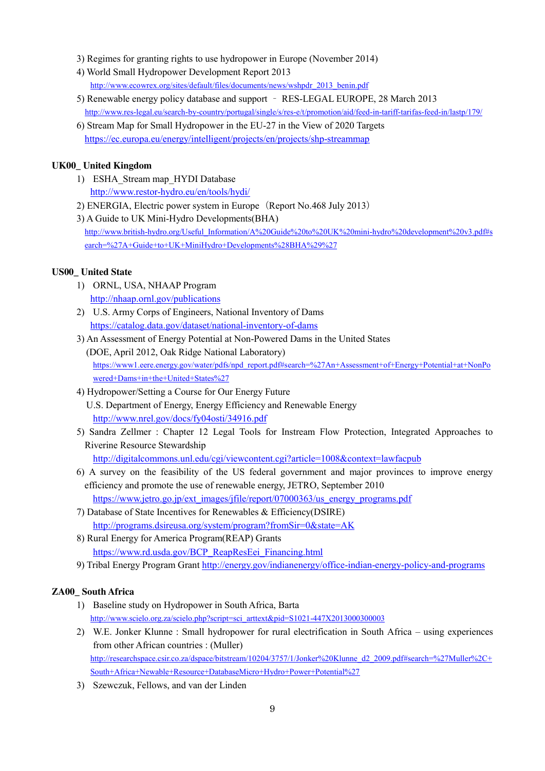- 3) Regimes for granting rights to use hydropower in Europe (November 2014)
- 4) World Small Hydropower Development Report 2013 [http://www.ecowrex.org/sites/default/files/documents/news/wshpdr\\_2013\\_benin.pdf](http://www.ecowrex.org/sites/default/files/documents/news/wshpdr_2013_benin.pdf)
- 5) Renewable energy policy database and support RES-LEGAL EUROPE, 28 March 2013 <http://www.res-legal.eu/search-by-country/portugal/single/s/res-e/t/promotion/aid/feed-in-tariff-tarifas-feed-in/lastp/179/>
- 6) Stream Map for Small Hydropower in the EU-27 in the View of 2020 Targets <https://ec.europa.eu/energy/intelligent/projects/en/projects/shp-streammap>

# **UK00\_ United Kingdom**

- 1) ESHA\_Stream map\_HYDI Database <http://www.restor-hydro.eu/en/tools/hydi/>
- 2) ENERGIA, Electric power system in Europe(Report No.468 July 2013)
- 3) A Guide to UK Mini-Hydro Developments(BHA) [http://www.british-hydro.org/Useful\\_Information/A%20Guide%20to%20UK%20mini-hydro%20development%20v3.pdf#s](http://www.british-hydro.org/Useful_Information/A%20Guide%20to%20UK%20mini-hydro%20development%20v3.pdf#search=%27A+Guide+to+UK+MiniHydro+Developments%28BHA%29%27) [earch=%27A+Guide+to+UK+MiniHydro+Developments%28BHA%29%27](http://www.british-hydro.org/Useful_Information/A%20Guide%20to%20UK%20mini-hydro%20development%20v3.pdf#search=%27A+Guide+to+UK+MiniHydro+Developments%28BHA%29%27)

#### **US00\_ United State**

- 1) ORNL, USA, NHAAP Program <http://nhaap.ornl.gov/publications>
- 2) U.S. Army Corps of Engineers, National Inventory of Dams <https://catalog.data.gov/dataset/national-inventory-of-dams>
- 3) An Assessment of Energy Potential at Non-Powered Dams in the United States (DOE, April 2012, Oak Ridge National Laboratory) [https://www1.eere.energy.gov/water/pdfs/npd\\_report.pdf#search=%27An+Assessment+of+Energy+Potential+at+NonPo](https://www1.eere.energy.gov/water/pdfs/npd_report.pdf#search=%27An+Assessment+of+Energy+Potential+at+NonPowered+Dams+in+the+United+States%27) [wered+Dams+in+the+United+States%27](https://www1.eere.energy.gov/water/pdfs/npd_report.pdf#search=%27An+Assessment+of+Energy+Potential+at+NonPowered+Dams+in+the+United+States%27)
- 4) Hydropower/Setting a Course for Our Energy Future U.S. Department of Energy, Energy Efficiency and Renewable Energy <http://www.nrel.gov/docs/fy04osti/34916.pdf>
- 5) Sandra Zellmer : Chapter 12 Legal Tools for Instream Flow Protection, Integrated Approaches to Riverine Resource Stewardship

<http://digitalcommons.unl.edu/cgi/viewcontent.cgi?article=1008&context=lawfacpub>

6) A survey on the feasibility of the US federal government and major provinces to improve energy efficiency and promote the use of renewable energy, JETRO, September 2010

[https://www.jetro.go.jp/ext\\_images/jfile/report/07000363/us\\_energy\\_programs.pdf](https://www.jetro.go.jp/ext_images/jfile/report/07000363/us_energy_programs.pdf)

- 7) Database of State Incentives for Renewables & Efficiency(DSIRE) <http://programs.dsireusa.org/system/program?fromSir=0&state=AK>
- 8) Rural Energy for America Program(REAP) Grants [https://www.rd.usda.gov/BCP\\_ReapResEei\\_Financing.html](https://www.rd.usda.gov/BCP_ReapResEei_Financing.html)
- 9) Tribal Energy Program Grant<http://energy.gov/indianenergy/office-indian-energy-policy-and-programs>

# **ZA00\_ South Africa**

- 1) Baseline study on Hydropower in South Africa, Barta [http://www.scielo.org.za/scielo.php?script=sci\\_arttext&pid=S1021-447X2013000300003](http://www.scielo.org.za/scielo.php?script=sci_arttext&pid=S1021-447X2013000300003)
- 2) W.E. Jonker Klunne : Small hydropower for rural electrification in South Africa using experiences from other African countries : (Muller) [http://researchspace.csir.co.za/dspace/bitstream/10204/3757/1/Jonker%20Klunne\\_d2\\_2009.pdf#search=%27Muller%2C+](http://researchspace.csir.co.za/dspace/bitstream/10204/3757/1/Jonker%20Klunne_d2_2009.pdf#search=%27Muller%2C+South+Africa+Newable+Resource+DatabaseMicro+Hydro+Power+Potential%27) [South+Africa+Newable+Resource+DatabaseMicro+Hydro+Power+Potential%27](http://researchspace.csir.co.za/dspace/bitstream/10204/3757/1/Jonker%20Klunne_d2_2009.pdf#search=%27Muller%2C+South+Africa+Newable+Resource+DatabaseMicro+Hydro+Power+Potential%27)
- 3) Szewczuk, Fellows, and van der Linden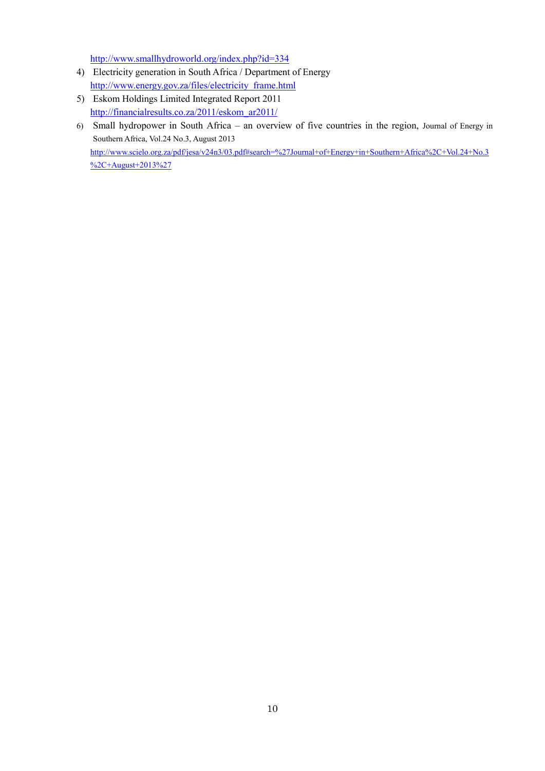<http://www.smallhydroworld.org/index.php?id=334>

- 4) Electricity generation in South Africa / Department of Energy [http://www.energy.gov.za/files/electricity\\_frame.html](http://www.energy.gov.za/files/electricity_frame.html)
- 5) Eskom Holdings Limited Integrated Report 2011 [http://financialresults.co.za/2011/eskom\\_ar2011/](http://financialresults.co.za/2011/eskom_ar2011/)
- 6) Small hydropower in South Africa an overview of five countries in the region, Journal of Energy in Southern Africa, Vol.24 No.3, August 2013 [http://www.scielo.org.za/pdf/jesa/v24n3/03.pdf#search=%27Journal+of+Energy+in+Southern+Africa%2C+Vol.24+No.3](http://www.scielo.org.za/pdf/jesa/v24n3/03.pdf#search=%27Journal+of+Energy+in+Southern+Africa%2C+Vol.24+No.3%2C+August+2013%27) [%2C+August+2013%27](http://www.scielo.org.za/pdf/jesa/v24n3/03.pdf#search=%27Journal+of+Energy+in+Southern+Africa%2C+Vol.24+No.3%2C+August+2013%27)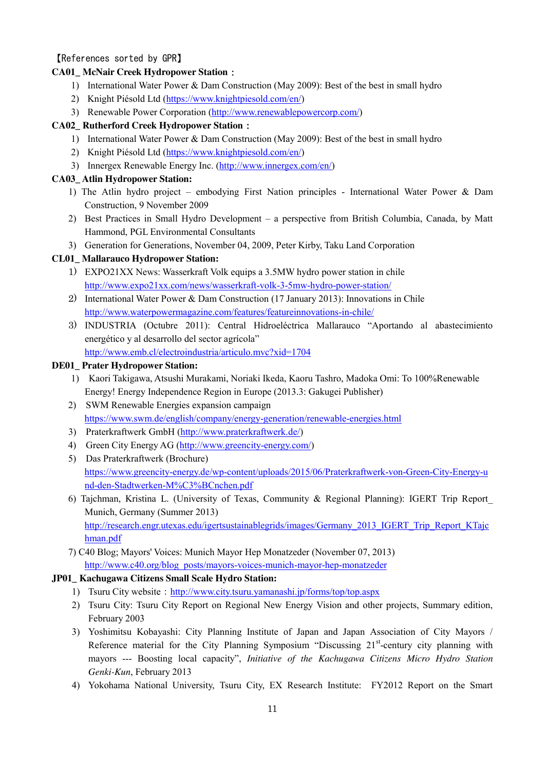#### <span id="page-10-0"></span>【References sorted by GPR】

#### **CA01\_ McNair Creek Hydropower Station**:

- 1) International Water Power & Dam Construction (May 2009): Best of the best in small hydro
- 2) Knight Piésold Ltd [\(https://www.knightpiesold.com/en/\)](https://www.knightpiesold.com/en/)
- 3) Renewable Power Corporation [\(http://www.renewablepowercorp.com/\)](http://www.renewablepowercorp.com/)

#### **CA02\_ Rutherford Creek Hydropower Station**:

- 1) International Water Power & Dam Construction (May 2009): Best of the best in small hydro
- 2) Knight Piésold Ltd [\(https://www.knightpiesold.com/en/\)](https://www.knightpiesold.com/en/)
- 3) Innergex Renewable Energy Inc. [\(http://www.innergex.com/en/\)](http://www.innergex.com/en/)

#### **CA03\_ Atlin Hydropower Station:**

- 1) The Atlin hydro project embodying First Nation principles International Water Power & Dam Construction, 9 November 2009
- 2) Best Practices in Small Hydro Development a perspective from British Columbia, Canada, by Matt Hammond, PGL Environmental Consultants
- 3) Generation for Generations, November 04, 2009, Peter Kirby, Taku Land Corporation

#### **CL01\_ Mallarauco Hydropower Station:**

- 1) EXPO21XX News: Wasserkraft Volk equips a 3.5MW hydro power station in chile <http://www.expo21xx.com/news/wasserkraft-volk-3-5mw-hydro-power-station/>
- 2) International Water Power & Dam Construction (17 January 2013): Innovations in Chile <http://www.waterpowermagazine.com/features/featureinnovations-in-chile/>
- 3) INDUSTRIA (Octubre 2011): Central Hidroeléctrica Mallarauco "Aportando al abastecimiento energético y al desarrollo del sector agrícola" <http://www.emb.cl/electroindustria/articulo.mvc?xid=1704>

#### **DE01\_ Prater Hydropower Station:**

- 1) Kaori Takigawa, Atsushi Murakami, Noriaki Ikeda, Kaoru Tashro, Madoka Omi: To 100%Renewable Energy! Energy Independence Region in Europe (2013.3: Gakugei Publisher)
- 2) SWM Renewable Energies expansion campaign <https://www.swm.de/english/company/energy-generation/renewable-energies.html>
- 3) Praterkraftwerk GmbH [\(http://www.praterkraftwerk.de/\)](http://www.praterkraftwerk.de/)
- 4) Green City Energy AG [\(http://www.greencity-energy.com/\)](http://www.greencity-energy.com/)
- 5) Das Praterkraftwerk (Brochure) [https://www.greencity-energy.de/wp-content/uploads/2015/06/Praterkraftwerk-von-Green-City-Energy-u](https://www.greencity-energy.de/wp-content/uploads/2015/06/Praterkraftwerk-von-Green-City-Energy-und-den-Stadtwerken-M%C3%BCnchen.pdf) [nd-den-Stadtwerken-M%C3%BCnchen.pdf](https://www.greencity-energy.de/wp-content/uploads/2015/06/Praterkraftwerk-von-Green-City-Energy-und-den-Stadtwerken-M%C3%BCnchen.pdf)
- 6) Tajchman, Kristina L. (University of Texas, Community & Regional Planning): IGERT Trip Report\_ Munich, Germany (Summer 2013) [http://research.engr.utexas.edu/igertsustainablegrids/images/Germany\\_2013\\_IGERT\\_Trip\\_Report\\_KTajc](http://research.engr.utexas.edu/igertsustainablegrids/images/Germany_2013_IGERT_Trip_Report_KTajchman.pdf) [hman.pdf](http://research.engr.utexas.edu/igertsustainablegrids/images/Germany_2013_IGERT_Trip_Report_KTajchman.pdf)
- 7) C40 Blog; Mayors' Voices: Munich Mayor Hep Monatzeder (November 07, 2013) [http://www.c40.org/blog\\_posts/mayors-voices-munich-mayor-hep-monatzeder](http://www.c40.org/blog_posts/mayors-voices-munich-mayor-hep-monatzeder)

#### **JP01\_ Kachugawa Citizens Small Scale Hydro Station:**

- 1) Tsuru City website: <http://www.city.tsuru.yamanashi.jp/forms/top/top.aspx>
- 2) Tsuru City: Tsuru City Report on Regional New Energy Vision and other projects, Summary edition, February 2003
- 3) Yoshimitsu Kobayashi: City Planning Institute of Japan and Japan Association of City Mayors / Reference material for the City Planning Symposium "Discussing  $21<sup>st</sup>$ -century city planning with mayors --- Boosting local capacity", *Initiative of the Kachugawa Citizens Micro Hydro Station Genki-Kun*, February 2013
- 4) Yokohama National University, Tsuru City, EX Research Institute: FY2012 Report on the Smart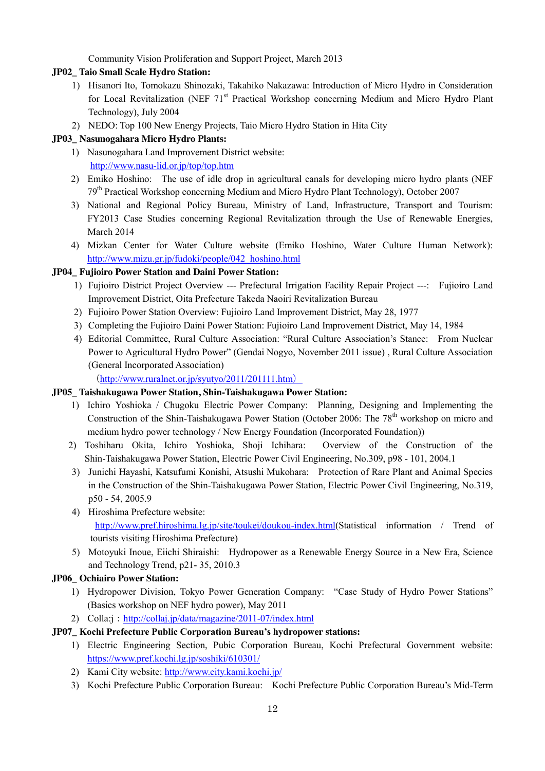Community Vision Proliferation and Support Project, March 2013

#### **JP02\_ Taio Small Scale Hydro Station:**

- 1) Hisanori Ito, Tomokazu Shinozaki, Takahiko Nakazawa: Introduction of Micro Hydro in Consideration for Local Revitalization (NEF 71<sup>st</sup> Practical Workshop concerning Medium and Micro Hydro Plant Technology), July 2004
- 2) NEDO: Top 100 New Energy Projects, Taio Micro Hydro Station in Hita City

# **JP03\_ Nasunogahara Micro Hydro Plants:**

- 1) Nasunogahara Land Improvement District website: <http://www.nasu-lid.or.jp/top/top.htm>
- 2) Emiko Hoshino: The use of idle drop in agricultural canals for developing micro hydro plants (NEF 79th Practical Workshop concerning Medium and Micro Hydro Plant Technology), October 2007
- 3) National and Regional Policy Bureau, Ministry of Land, Infrastructure, Transport and Tourism: FY2013 Case Studies concerning Regional Revitalization through the Use of Renewable Energies, March 2014
- 4) Mizkan Center for Water Culture website (Emiko Hoshino, Water Culture Human Network): [http://www.mizu.gr.jp/fudoki/people/042\\_hoshino.html](http://www.mizu.gr.jp/fudoki/people/042_hoshino.html)

# **JP04\_ Fujioiro Power Station and Daini Power Station:**

- 1) Fujioiro District Project Overview --- Prefectural Irrigation Facility Repair Project ---: Fujioiro Land Improvement District, Oita Prefecture Takeda Naoiri Revitalization Bureau
- 2) Fujioiro Power Station Overview: Fujioiro Land Improvement District, May 28, 1977
- 3) Completing the Fujioiro Daini Power Station: Fujioiro Land Improvement District, May 14, 1984
- 4) Editorial Committee, Rural Culture Association: "Rural Culture Association's Stance: From Nuclear Power to Agricultural Hydro Power" (Gendai Nogyo, November 2011 issue) , Rural Culture Association (General Incorporated Association)

(<http://www.ruralnet.or.jp/syutyo/2011/201111.htm>)

# **JP05\_ Taishakugawa Power Station, Shin-Taishakugawa Power Station:**

- 1) Ichiro Yoshioka / Chugoku Electric Power Company: Planning, Designing and Implementing the Construction of the Shin-Taishakugawa Power Station (October 2006: The  $78<sup>th</sup>$  workshop on micro and medium hydro power technology / New Energy Foundation (Incorporated Foundation))
- 2) Toshiharu Okita, Ichiro Yoshioka, Shoji Ichihara: Overview of the Construction of the Shin-Taishakugawa Power Station, Electric Power Civil Engineering, No.309, p98 - 101, 2004.1
- 3) Junichi Hayashi, Katsufumi Konishi, Atsushi Mukohara: Protection of Rare Plant and Animal Species in the Construction of the Shin-Taishakugawa Power Station, Electric Power Civil Engineering, No.319, p50 - 54, 2005.9
- 4) Hiroshima Prefecture website: [http://www.pref.hiroshima.lg.jp/site/toukei/doukou-index.html\(](http://www.pref.hiroshima.lg.jp/site/toukei/doukou-index.html)Statistical information / Trend of tourists visiting Hiroshima Prefecture)
- 5) Motoyuki Inoue, Eiichi Shiraishi: Hydropower as a Renewable Energy Source in a New Era, Science and Technology Trend, p21- 35, 2010.3

# **JP06\_ Ochiairo Power Station:**

- 1) Hydropower Division, Tokyo Power Generation Company: "Case Study of Hydro Power Stations" (Basics workshop on NEF hydro power), May 2011
- 2) Colla:j:<http://collaj.jp/data/magazine/2011-07/index.html>

# **JP07\_ Kochi Prefecture Public Corporation Bureau's hydropower stations:**

- 1) Electric Engineering Section, Pubic Corporation Bureau, Kochi Prefectural Government website: <https://www.pref.kochi.lg.jp/soshiki/610301/>
- 2) Kami City website:<http://www.city.kami.kochi.jp/>
- 3) Kochi Prefecture Public Corporation Bureau: Kochi Prefecture Public Corporation Bureau's Mid-Term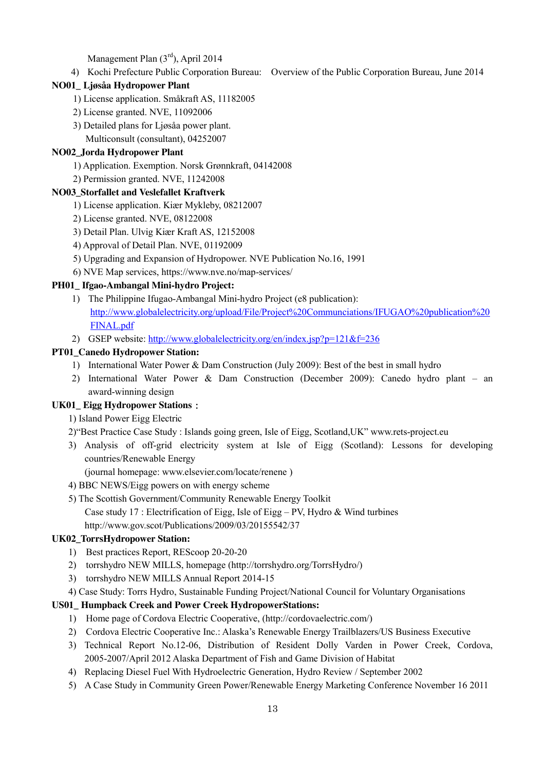Management Plan (3rd), April 2014

4) Kochi Prefecture Public Corporation Bureau: Overview of the Public Corporation Bureau, June 2014

#### **NO01\_ Ljøsåa Hydropower Plant**

- 1) License application. Småkraft AS, 11182005
- 2) License granted. NVE, 11092006
- 3) Detailed plans for Ljøsåa power plant.
	- Multiconsult (consultant), 04252007

#### **NO02\_Jorda Hydropower Plant**

- 1) Application. Exemption. Norsk Grønnkraft, 04142008
- 2) Permission granted. NVE, 11242008

#### **NO03\_Storfallet and Veslefallet Kraftverk**

- 1) License application. Kiær Mykleby, 08212007
- 2) License granted. NVE, 08122008
- 3) Detail Plan. Ulvig Kiær Kraft AS, 12152008
- 4) Approval of Detail Plan. NVE, 01192009
- 5) Upgrading and Expansion of Hydropower. NVE Publication No.16, 1991
- 6) NVE Map services, https://www.nve.no/map-services/

#### **PH01\_ Ifgao-Ambangal Mini-hydro Project:**

- 1) The Philippine Ifugao-Ambangal Mini-hydro Project (e8 publication): [http://www.globalelectricity.org/upload/File/Project%20Communciations/IFUGAO%20publication%20](http://www.globalelectricity.org/upload/File/Project%20Communciations/IFUGAO%20publication%20FINAL.pdf) [FINAL.pdf](http://www.globalelectricity.org/upload/File/Project%20Communciations/IFUGAO%20publication%20FINAL.pdf)
- 2) GSEP website:<http://www.globalelectricity.org/en/index.jsp?p=121&f=236>

#### **PT01\_Canedo Hydropower Station:**

- 1) International Water Power & Dam Construction (July 2009): Best of the best in small hydro
- 2) International Water Power & Dam Construction (December 2009): Canedo hydro plant an award-winning design

# **UK01\_ Eigg Hydropower Stations**:

- 1) Island Power Eigg Electric
- 2)"Best Practice Case Study : Islands going green, Isle of Eigg, Scotland,UK" www.rets-project.eu
- 3) Analysis of off-grid electricity system at Isle of Eigg (Scotland): Lessons for developing countries/Renewable Energy

(journal homepage: www.elsevier.com/locate/renene )

- 4) BBC NEWS/Eigg powers on with energy scheme
- 5) The Scottish Government/Community Renewable Energy Toolkit Case study 17 : Electrification of Eigg, Isle of Eigg – PV, Hydro  $&$  Wind turbines http://www.gov.scot/Publications/2009/03/20155542/37

#### **UK02\_TorrsHydropower Station:**

- 1) Best practices Report, REScoop 20-20-20
- 2) torrshydro NEW MILLS, homepage (http://torrshydro.org/TorrsHydro/)
- 3) torrshydro NEW MILLS Annual Report 2014-15
- 4) Case Study: Torrs Hydro, Sustainable Funding Project/National Council for Voluntary Organisations

# **US01\_ Humpback Creek and Power Creek HydropowerStations:**

- 1) Home page of Cordova Electric Cooperative, (http://cordovaelectric.com/)
- 2) Cordova Electric Cooperative Inc.: Alaska's Renewable Energy Trailblazers/US Business Executive
- 3) Technical Report No.12-06, Distribution of Resident Dolly Varden in Power Creek, Cordova, 2005-2007/April 2012 Alaska Department of Fish and Game Division of Habitat
- 4) Replacing Diesel Fuel With Hydroelectric Generation, Hydro Review / September 2002
- 5) A Case Study in Community Green Power/Renewable Energy Marketing Conference November 16 2011